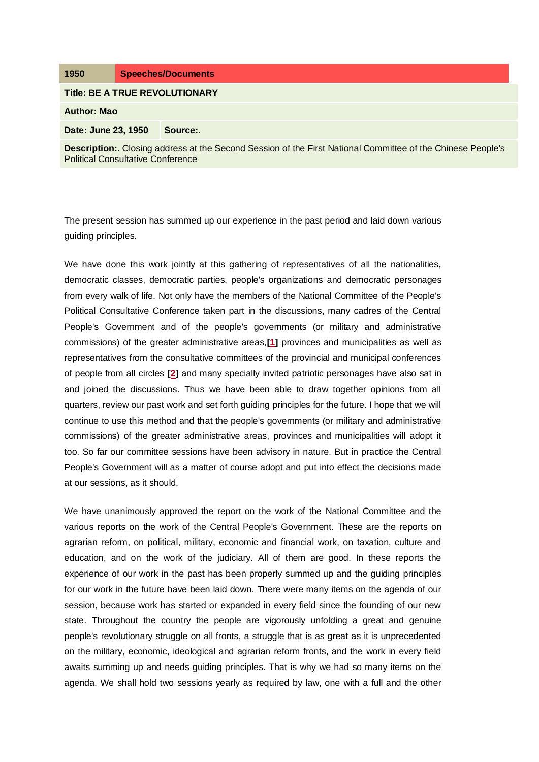### **1950 Speeches/Documents**

### **Title: BE A TRUE REVOLUTIONARY**

### **Author: Mao**

**Date: June 23, 1950 Source:**.

**Description:**. Closing address at the Second Session of the First National Committee of the Chinese People's Political Consultative Conference

The present session has summed up our experience in the past period and laid down various guiding principles.

We have done this work jointly at this gathering of representatives of all the nationalities, democratic classes, democratic parties, people's organizations and democratic personages from every walk of life. Not only have the members of the National Committee of the People's Political Consultative Conference taken part in the discussions, many cadres of the Central People's Government and of the people's governments (or military and administrative commissions) of the greater administrative areas,**[\[1\]](http://www.marxists.org/reference/archive/mao/selected-works/volume-5/mswv5_08.htm#bm1#bm1)** provinces and municipalities as well as representatives from the consultative committees of the provincial and municipal conferences of people from all circles **[\[2\]](http://www.marxists.org/reference/archive/mao/selected-works/volume-5/mswv5_08.htm#bm2#bm2)** and many specially invited patriotic personages have also sat in and joined the discussions. Thus we have been able to draw together opinions from all quarters, review our past work and set forth guiding principles for the future. I hope that we will continue to use this method and that the people's governments (or military and administrative commissions) of the greater administrative areas, provinces and municipalities will adopt it too. So far our committee sessions have been advisory in nature. But in practice the Central People's Government will as a matter of course adopt and put into effect the decisions made at our sessions, as it should.

We have unanimously approved the report on the work of the National Committee and the various reports on the work of the Central People's Government. These are the reports on agrarian reform, on political, military, economic and financial work, on taxation, culture and education, and on the work of the judiciary. All of them are good. In these reports the experience of our work in the past has been properly summed up and the guiding principles for our work in the future have been laid down. There were many items on the agenda of our session, because work has started or expanded in every field since the founding of our new state. Throughout the country the people are vigorously unfolding a great and genuine people's revolutionary struggle on all fronts, a struggle that is as great as it is unprecedented on the military, economic, ideological and agrarian reform fronts, and the work in every field awaits summing up and needs guiding principles. That is why we had so many items on the agenda. We shall hold two sessions yearly as required by law, one with a full and the other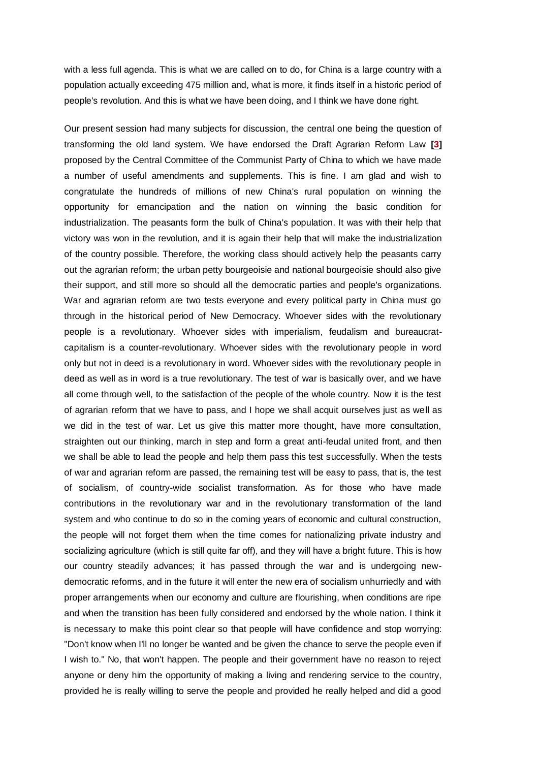with a less full agenda. This is what we are called on to do, for China is a large country with a population actually exceeding 475 million and, what is more, it finds itself in a historic period of people's revolution. And this is what we have been doing, and I think we have done right.

Our present session had many subjects for discussion, the central one being the question of transforming the old land system. We have endorsed the Draft Agrarian Reform Law **[\[3\]](http://www.marxists.org/reference/archive/mao/selected-works/volume-5/mswv5_08.htm#bm3#bm3)** proposed by the Central Committee of the Communist Party of China to which we have made a number of useful amendments and supplements. This is fine. I am glad and wish to congratulate the hundreds of millions of new China's rural population on winning the opportunity for emancipation and the nation on winning the basic condition for industrialization. The peasants form the bulk of China's population. It was with their help that victory was won in the revolution, and it is again their help that will make the industrialization of the country possible. Therefore, the working class should actively help the peasants carry out the agrarian reform; the urban petty bourgeoisie and national bourgeoisie should also give their support, and still more so should all the democratic parties and people's organizations. War and agrarian reform are two tests everyone and every political party in China must go through in the historical period of New Democracy. Whoever sides with the revolutionary people is a revolutionary. Whoever sides with imperialism, feudalism and bureaucratcapitalism is a counter-revolutionary. Whoever sides with the revolutionary people in word only but not in deed is a revolutionary in word. Whoever sides with the revolutionary people in deed as well as in word is a true revolutionary. The test of war is basically over, and we have all come through well, to the satisfaction of the people of the whole country. Now it is the test of agrarian reform that we have to pass, and I hope we shall acquit ourselves just as well as we did in the test of war. Let us give this matter more thought, have more consultation, straighten out our thinking, march in step and form a great anti-feudal united front, and then we shall be able to lead the people and help them pass this test successfully. When the tests of war and agrarian reform are passed, the remaining test will be easy to pass, that is, the test of socialism, of country-wide socialist transformation. As for those who have made contributions in the revolutionary war and in the revolutionary transformation of the land system and who continue to do so in the coming years of economic and cultural construction, the people will not forget them when the time comes for nationalizing private industry and socializing agriculture (which is still quite far off), and they will have a bright future. This is how our country steadily advances; it has passed through the war and is undergoing newdemocratic reforms, and in the future it will enter the new era of socialism unhurriedly and with proper arrangements when our economy and culture are flourishing, when conditions are ripe and when the transition has been fully considered and endorsed by the whole nation. I think it is necessary to make this point clear so that people will have confidence and stop worrying: "Don't know when I'll no longer be wanted and be given the chance to serve the people even if I wish to." No, that won't happen. The people and their government have no reason to reject anyone or deny him the opportunity of making a living and rendering service to the country, provided he is really willing to serve the people and provided he really helped and did a good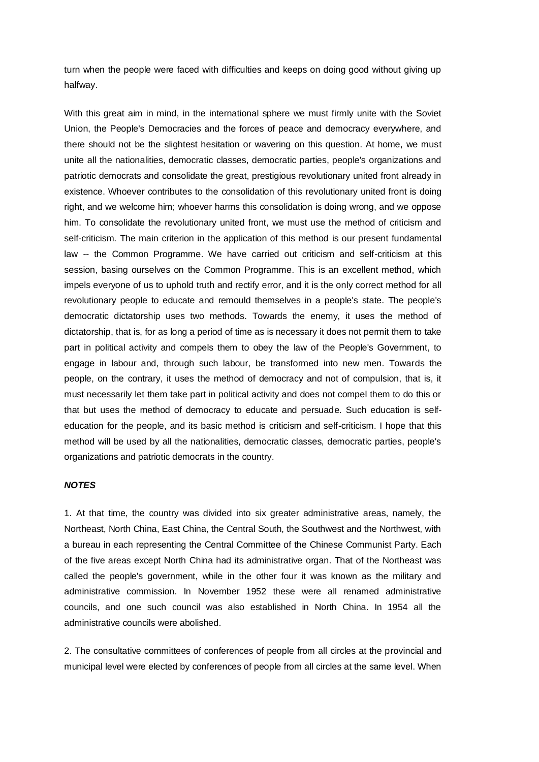turn when the people were faced with difficulties and keeps on doing good without giving up halfway.

With this great aim in mind, in the international sphere we must firmly unite with the Soviet Union, the People's Democracies and the forces of peace and democracy everywhere, and there should not be the slightest hesitation or wavering on this question. At home, we must unite all the nationalities, democratic classes, democratic parties, people's organizations and patriotic democrats and consolidate the great, prestigious revolutionary united front already in existence. Whoever contributes to the consolidation of this revolutionary united front is doing right, and we welcome him; whoever harms this consolidation is doing wrong, and we oppose him. To consolidate the revolutionary united front, we must use the method of criticism and self-criticism. The main criterion in the application of this method is our present fundamental law -- the Common Programme. We have carried out criticism and self-criticism at this session, basing ourselves on the Common Programme. This is an excellent method, which impels everyone of us to uphold truth and rectify error, and it is the only correct method for all revolutionary people to educate and remould themselves in a people's state. The people's democratic dictatorship uses two methods. Towards the enemy, it uses the method of dictatorship, that is, for as long a period of time as is necessary it does not permit them to take part in political activity and compels them to obey the law of the People's Government, to engage in labour and, through such labour, be transformed into new men. Towards the people, on the contrary, it uses the method of democracy and not of compulsion, that is, it must necessarily let them take part in political activity and does not compel them to do this or that but uses the method of democracy to educate and persuade. Such education is selfeducation for the people, and its basic method is criticism and self-criticism. I hope that this method will be used by all the nationalities, democratic classes, democratic parties, people's organizations and patriotic democrats in the country.

## *NOTES*

1. At that time, the country was divided into six greater administrative areas, namely, the Northeast, North China, East China, the Central South, the Southwest and the Northwest, with a bureau in each representing the Central Committee of the Chinese Communist Party. Each of the five areas except North China had its administrative organ. That of the Northeast was called the people's government, while in the other four it was known as the military and administrative commission. In November 1952 these were all renamed administrative councils, and one such council was also established in North China. In 1954 all the administrative councils were abolished.

2. The consultative committees of conferences of people from all circles at the provincial and municipal level were elected by conferences of people from all circles at the same level. When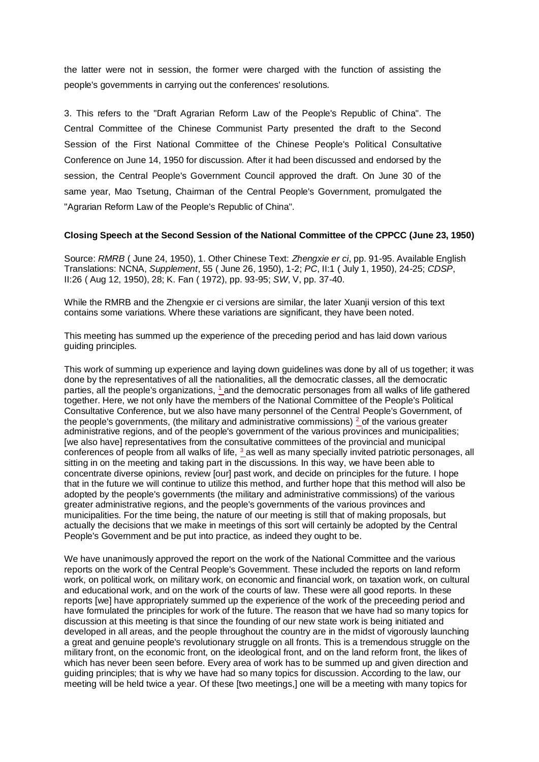the latter were not in session, the former were charged with the function of assisting the people's governments in carrying out the conferences' resolutions.

3. This refers to the "Draft Agrarian Reform Law of the People's Republic of China". The Central Committee of the Chinese Communist Party presented the draft to the Second Session of the First National Committee of the Chinese People's Political Consultative Conference on June 14, 1950 for discussion. After it had been discussed and endorsed by the session, the Central People's Government Council approved the draft. On June 30 of the same year, Mao Tsetung, Chairman of the Central People's Government, promulgated the "Agrarian Reform Law of the People's Republic of China".

# **Closing Speech at the Second Session of the National Committee of the CPPCC (June 23, 1950)**

Source: *RMRB* ( June 24, 1950), 1. Other Chinese Text: *Zhengxie er ci*, pp. 91-95. Available English Translations: NCNA, *Supplement*, 55 ( June 26, 1950), 1-2; *PC*, II:1 ( July 1, 1950), 24-25; *CDSP*, II:26 ( Aug 12, 1950), 28; K. Fan ( 1972), pp. 93-95; *SW*, V, pp. 37-40.

While the RMRB and the Zhengxie er ci versions are similar, the later Xuanji version of this text contains some variations. Where these variations are significant, they have been noted.

This meeting has summed up the experience of the preceding period and has laid down various guiding principles.

This work of summing up experience and laying down guidelines was done by all of us together; it was done by the representatives of all the nationalities, all the democratic classes, all the democratic parties[,](http://www.questia.com/PM.qst?a=o&d=99262066) all the people's organizations, 1 and the democratic personages from all walks of life gathered together. Here, we not only have the members of the National Committee of the People's Political Consultative Conference, but we also have many personnel of the Central People's Government, of the people's governments, (the military and administrative commissions)  $\frac{2}{3}$  $\frac{2}{3}$  $\frac{2}{3}$  of the various greater administrative regions, and of the people's government of the various provinces and municipalities; [we also have] representatives from the consultative committees of the provincial and municipal conferences of people from all walks of life,  $\frac{3}{2}$  $\frac{3}{2}$  $\frac{3}{2}$  as well as many specially invited patriotic personages, all sitting in on the meeting and taking part in the discussions. In this way, we have been able to concentrate diverse opinions, review [our] past work, and decide on principles for the future. I hope that in the future we will continue to utilize this method, and further hope that this method will also be adopted by the people's governments (the military and administrative commissions) of the various greater administrative regions, and the people's governments of the various provinces and municipalities. For the time being, the nature of our meeting is still that of making proposals, but actually the decisions that we make in meetings of this sort will certainly be adopted by the Central People's Government and be put into practice, as indeed they ought to be.

We have unanimously approved the report on the work of the National Committee and the various reports on the work of the Central People's Government. These included the reports on land reform work, on political work, on military work, on economic and financial work, on taxation work, on cultural and educational work, and on the work of the courts of law. These were all good reports. In these reports [we] have appropriately summed up the experience of the work of the preceeding period and have formulated the principles for work of the future. The reason that we have had so many topics for discussion at this meeting is that since the founding of our new state work is being initiated and developed in all areas, and the people throughout the country are in the midst of vigorously launching a great and genuine people's revolutionary struggle on all fronts. This is a tremendous struggle on the military front, on the economic front, on the ideological front, and on the land reform front, the likes of which has never been seen before. Every area of work has to be summed up and given direction and guiding principles; that is why we have had so many topics for discussion. According to the law, our meeting will be held twice a year. Of these [two meetings,] one will be a meeting with many topics for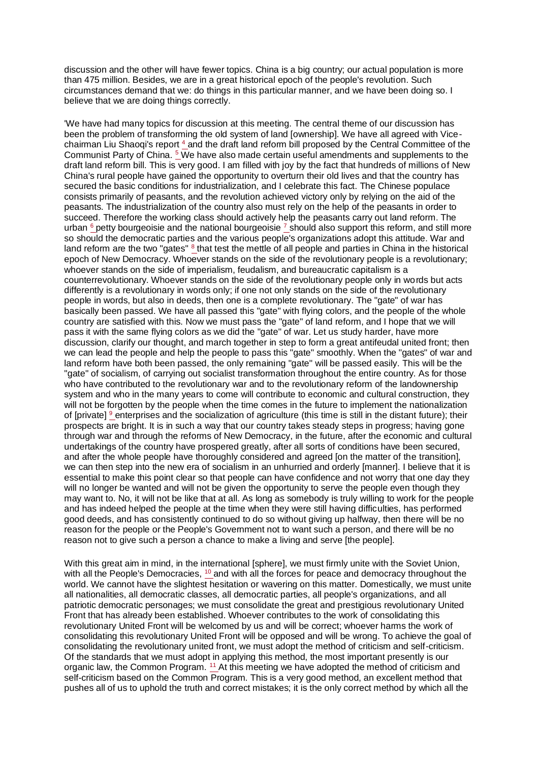discussion and the other will have fewer topics. China is a big country; our actual population is more than 475 million. Besides, we are in a great historical epoch of the people's revolution. Such circumstances demand that we: do things in this particular manner, and we have been doing so. I believe that we are doing things correctly.

'We have had many topics for discussion at this meeting. The central theme of our discussion has been the problem of transforming the old system of land [ownership]. We have all agreed with Vicechairman Liu Shaoqi's repor[t](http://www.questia.com/PM.qst?a=o&d=99262067) <sup>4</sup> and the draft land reform bill proposed by the Central Committee of the CommunistParty of China. <sup>5</sup> We have also made certain useful amendments and supplements to the draft land reform bill. This is very good. I am filled with joy by the fact that hundreds of millions of New China's rural people have gained the opportunity to overturn their old lives and that the country has secured the basic conditions for industrialization, and I celebrate this fact. The Chinese populace consists primarily of peasants, and the revolution achieved victory only by relying on the aid of the peasants. The industrialization of the country also must rely on the help of the peasants in order to succeed. Therefore the working class should actively help the peasants carry out land reform. The urban $6$  petty bourgeoisie and the national bourgeoisie  $7$  should also support this reform, and still more so should the democratic parties and the various people's organizations adopt this attitude. War and land reform are the two "gates"  $8$  $8$  $8$  that test the mettle of all people and parties in China in the historical</u> epoch of New Democracy. Whoever stands on the side of the revolutionary people is a revolutionary; whoever stands on the side of imperialism, feudalism, and bureaucratic capitalism is a counterrevolutionary. Whoever stands on the side of the revolutionary people only in words but acts differently is a revolutionary in words only; if one not only stands on the side of the revolutionary people in words, but also in deeds, then one is a complete revolutionary. The "gate" of war has basically been passed. We have all passed this "gate" with flying colors, and the people of the whole country are satisfied with this. Now we must pass the "gate" of land reform, and I hope that we will pass it with the same flying colors as we did the "gate" of war. Let us study harder, have more discussion, clarify our thought, and march together in step to form a great antifeudal united front; then we can lead the people and help the people to pass this "gate" smoothly. When the "gates" of war and land reform have both been passed, the only remaining "gate" will be passed easily. This will be the "gate" of socialism, of carrying out socialist transformation throughout the entire country. As for those who have contributed to the revolutionary war and to the revolutionary reform of the landownership system and who in the many years to come will contribute to economic and cultural construction, they will not be forgotten by the people when the time comes in the future to implement the nationalization of[private]  $9$  enterprises and the socialization of agriculture (this time is still in the distant future); their prospects are bright. It is in such a way that our country takes steady steps in progress; having gone through war and through the reforms of New Democracy, in the future, after the economic and cultural undertakings of the country have prospered greatly, after all sorts of conditions have been secured, and after the whole people have thoroughly considered and agreed [on the matter of the transition], we can then step into the new era of socialism in an unhurried and orderly [manner]. I believe that it is essential to make this point clear so that people can have confidence and not worry that one day they will no longer be wanted and will not be given the opportunity to serve the people even though they may want to. No, it will not be like that at all. As long as somebody is truly willing to work for the people and has indeed helped the people at the time when they were still having difficulties, has performed good deeds, and has consistently continued to do so without giving up halfway, then there will be no reason for the people or the People's Government not to want such a person, and there will be no reason not to give such a person a chance to make a living and serve [the people].

With this great aim in mind, in the international [sphere], we must firmly unite with the Soviet Union, with all the People's Democracies, <sup>[10](http://www.questia.com/PM.qst?a=o&d=99262163)</sup> and with all the forces for peace and democracy throughout the world. We cannot have the slightest hesitation or wavering on this matter. Domestically, we must unite all nationalities, all democratic classes, all democratic parties, all people's organizations, and all patriotic democratic personages; we must consolidate the great and prestigious revolutionary United Front that has already been established. Whoever contributes to the work of consolidating this revolutionary United Front will be welcomed by us and will be correct; whoever harms the work of consolidating this revolutionary United Front will be opposed and will be wrong. To achieve the goal of consolidating the revolutionary united front, we must adopt the method of criticism and self-criticism. Of the standards that we must adopt in applying this method, the most important presently is our organic law, the Common Program.  $11$  At this meeting we have adopted the method of criticism and self-criticism based on the Common Program. This is a very good method, an excellent method that pushes all of us to uphold the truth and correct mistakes; it is the only correct method by which all the